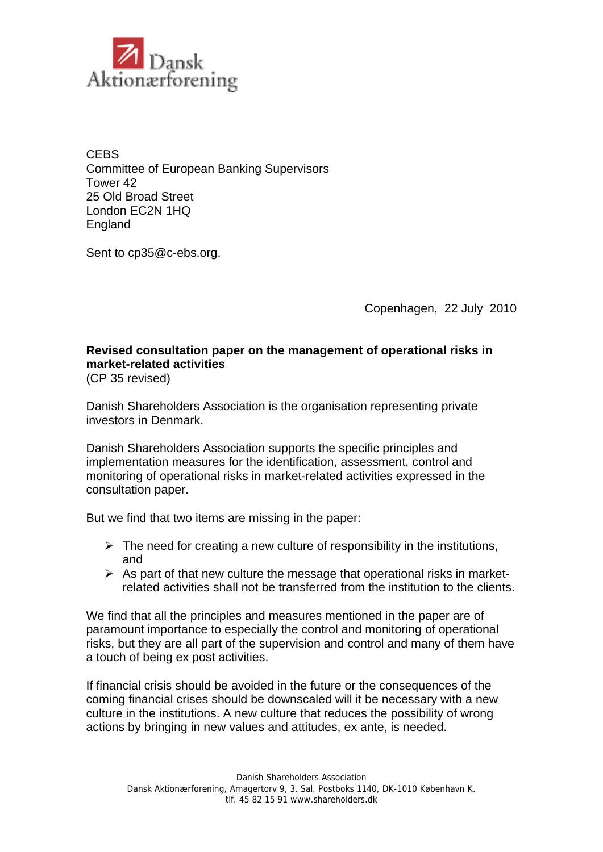

**CEBS** Committee of European Banking Supervisors Tower 42 25 Old Broad Street London EC2N 1HQ England

Sent to cp35@c-ebs.org.

Copenhagen, 22 July 2010

## **Revised consultation paper on the management of operational risks in market-related activities**

(CP 35 revised)

Danish Shareholders Association is the organisation representing private investors in Denmark.

Danish Shareholders Association supports the specific principles and implementation measures for the identification, assessment, control and monitoring of operational risks in market-related activities expressed in the consultation paper.

But we find that two items are missing in the paper:

- $\triangleright$  The need for creating a new culture of responsibility in the institutions, and
- $\triangleright$  As part of that new culture the message that operational risks in marketrelated activities shall not be transferred from the institution to the clients.

We find that all the principles and measures mentioned in the paper are of paramount importance to especially the control and monitoring of operational risks, but they are all part of the supervision and control and many of them have a touch of being ex post activities.

If financial crisis should be avoided in the future or the consequences of the coming financial crises should be downscaled will it be necessary with a new culture in the institutions. A new culture that reduces the possibility of wrong actions by bringing in new values and attitudes, ex ante, is needed.